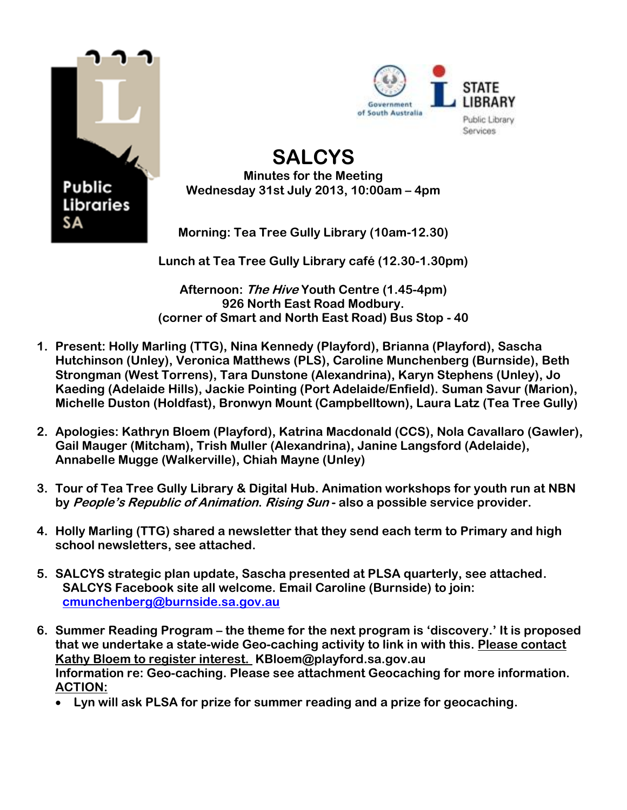



## **SALCYS Minutes for the Meeting Wednesday 31st July 2013, 10:00am – 4pm**

**Morning: Tea Tree Gully Library (10am-12.30)** 

**Lunch at Tea Tree Gully Library café (12.30-1.30pm)**

**Afternoon: The Hive Youth Centre (1.45-4pm) 926 North East Road Modbury. (corner of Smart and North East Road) Bus Stop - 40**

- **1. Present: Holly Marling (TTG), Nina Kennedy (Playford), Brianna (Playford), Sascha Hutchinson (Unley), Veronica Matthews (PLS), Caroline Munchenberg (Burnside), Beth Strongman (West Torrens), Tara Dunstone (Alexandrina), Karyn Stephens (Unley), Jo Kaeding (Adelaide Hills), Jackie Pointing (Port Adelaide/Enfield). Suman Savur (Marion), Michelle Duston (Holdfast), Bronwyn Mount (Campbelltown), Laura Latz (Tea Tree Gully)**
- **2. Apologies: Kathryn Bloem (Playford), Katrina Macdonald (CCS), Nola Cavallaro (Gawler), Gail Mauger (Mitcham), Trish Muller (Alexandrina), Janine Langsford (Adelaide), Annabelle Mugge (Walkerville), Chiah Mayne (Unley)**
- **3. Tour of Tea Tree Gully Library & Digital Hub. Animation workshops for youth run at NBN by People's Republic of Animation. Rising Sun - also a possible service provider.**
- **4. Holly Marling (TTG) shared a newsletter that they send each term to Primary and high school newsletters, see attached.**
- **5. SALCYS strategic plan update, Sascha presented at PLSA quarterly, see attached. SALCYS Facebook site all welcome. Email Caroline (Burnside) to join: [cmunchenberg@burnside.sa.gov.au](mailto:cmunchenberg@burnside.sa.gov.au)**
- **6. Summer Reading Program – the theme for the next program is 'discovery.' It is proposed that we undertake a state-wide Geo-caching activity to link in with this. Please contact Kathy Bloem to register interest. KBloem@playford.sa.gov.au Information re: Geo-caching. Please see attachment Geocaching for more information. ACTION:**
	- **Lyn will ask PLSA for prize for summer reading and a prize for geocaching.**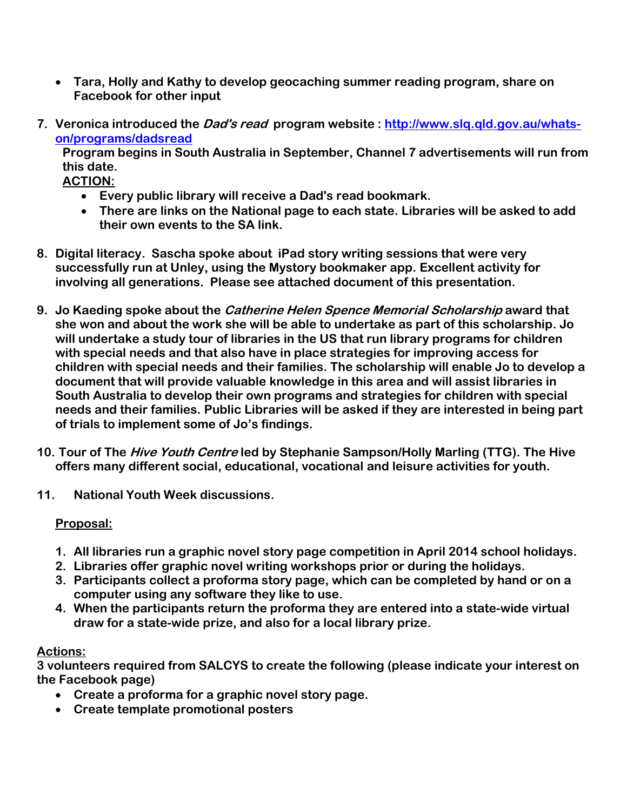- **Tara, Holly and Kathy to develop geocaching summer reading program, share on Facebook for other input**
- **7. Veronica introduced the Dad's read program website : [http://www.slq.qld.gov.au/whats](http://www.slq.qld.gov.au/whats-on/programs/dadsread)[on/programs/dadsread](http://www.slq.qld.gov.au/whats-on/programs/dadsread)**

**Program begins in South Australia in September, Channel 7 advertisements will run from this date.**

**ACTION:**

- **Every public library will receive a Dad's read bookmark.**
- **There are links on the National page to each state. Libraries will be asked to add their own events to the SA link.**
- **8. Digital literacy. Sascha spoke about iPad story writing sessions that were very successfully run at Unley, using the Mystory bookmaker app. Excellent activity for involving all generations. Please see attached document of this presentation.**
- **9. Jo Kaeding spoke about the Catherine Helen Spence Memorial Scholarship award that she won and about the work she will be able to undertake as part of this scholarship. Jo will undertake a study tour of libraries in the US that run library programs for children with special needs and that also have in place strategies for improving access for children with special needs and their families. The scholarship will enable Jo to develop a document that will provide valuable knowledge in this area and will assist libraries in South Australia to develop their own programs and strategies for children with special needs and their families. Public Libraries will be asked if they are interested in being part of trials to implement some of Jo's findings.**
- **10. Tour of The Hive Youth Centre led by Stephanie Sampson/Holly Marling (TTG). The Hive offers many different social, educational, vocational and leisure activities for youth.**
- **11. National Youth Week discussions.**

## **Proposal:**

- **1. All libraries run a graphic novel story page competition in April 2014 school holidays.**
- **2. Libraries offer graphic novel writing workshops prior or during the holidays.**
- **3. Participants collect a proforma story page, which can be completed by hand or on a computer using any software they like to use.**
- **4. When the participants return the proforma they are entered into a state-wide virtual draw for a state-wide prize, and also for a local library prize.**

## **Actions:**

**3 volunteers required from SALCYS to create the following (please indicate your interest on the Facebook page)**

- **Create a proforma for a graphic novel story page.**
- **Create template promotional posters**